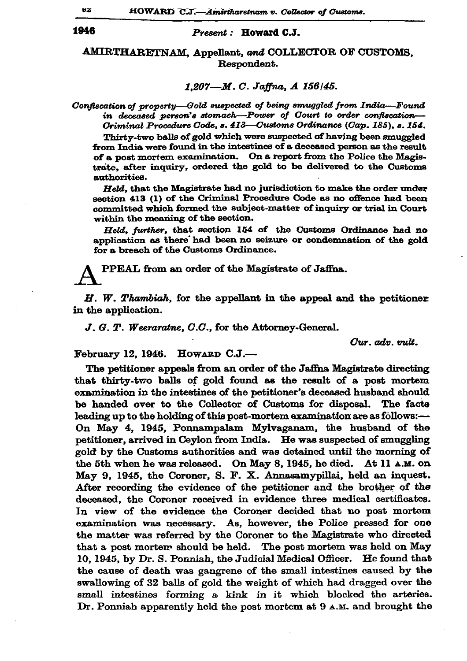## 1946

## Present: Howard C.J.

## AMIRTHARETNAM, Appellant, and COLLECTOR OF CUSTOMS, Respondent.

## 1.207-M.C. Jaffna, A 156/45.

Confiscation of property-Gold suspected of being smuggled from India-Found in deceased person's stomach—Power of Court to order confiscation— Criminal Procedure Code, s. 413—Customs Ordinance (Cap. 185), s. 154.

Thirty-two balls of gold which were suspected of having been smuggled from India were found in the intestines of a deceased person as the result of a post mortem examination. On a report from the Police the Magistrate, after inquiry, ordered the gold to be delivered to the Customs authorities.

Held, that the Magistrate had no jurisdiction to make the order under section 413 (1) of the Criminal Procedure Code as no offence had been committed which formed the subject-matter of inquiry or trial in Court within the meaning of the section.

Held, further, that section 154 of the Customs Ordinance had no application as there had been no seizure or condemnation of the gold for a breach of the Customs Ordinance.

PPEAL from an order of the Magistrate of Jaffna.

 $H.$  W. Thambiah, for the appellant in the appeal and the petitioner in the application.

 $J. G. T. Weeraraine, C.C., for the Attorney-General.$ 

Cur. adv. vult.

February 12, 1946. HOWARD C.J.-

The petitioner appeals from an order of the Jaffna Magistrate directing that thirty-two balls of gold found as the result of a post mortem examination in the intestines of the petitioner's deceased husband should be handed over to the Collector of Customs for disposal. The facts leading up to the holding of this post-mortem examination are as follows:-On May 4, 1945, Ponnampalam Mylvaganam, the husband of the petitioner, arrived in Ceylon from India. He was suspected of smuggling gold by the Customs authorities and was detained until the morning of the 5th when he was released. On May 8, 1945, he died. At 11 A.M. on May 9, 1945, the Coroner, S. F. X. Annasamypillai, held an inquest. After recording the evidence of the petitioner and the brother of the deceased, the Coroner received in evidence three medical certificates. In view of the evidence the Coroner decided that no post mortem examination was necessary. As, however, the Police pressed for one the matter was referred by the Coroner to the Magistrate who directed that a post mortem should be held. The post mortem was held on May 10, 1945, by Dr. S. Ponniah, the Judicial Medical Officer. He found that the cause of death was gangrene of the small intestines caused by the swallowing of 32 balls of gold the weight of which had dragged over the small intestines forming a kink in it which blocked the arteries. Dr. Ponniah apparently held the post mortem at 9 A.M. and brought the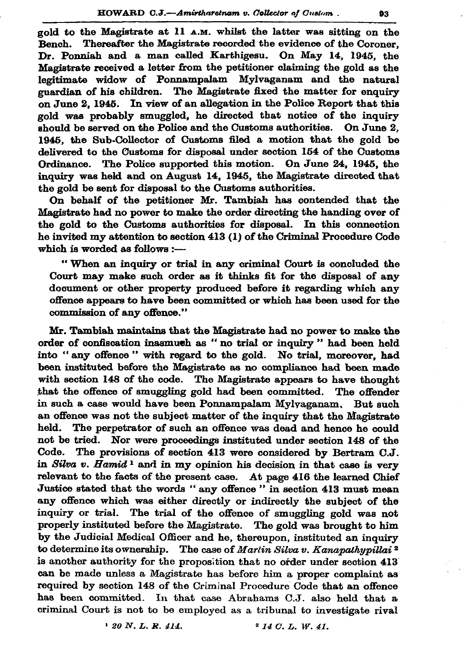gold to the Magistrate at 11 A.M. whilst the latter was sitting on the Bench. Thereafter the Magistrate recorded the evidence of the Coroner. Dr. Ponniah and a man called Karthigesu. On May 14, 1945, the Magistrate received a letter from the petitioner claiming the gold as the legitimate widow of Ponnampalam Mylvaganam and the natural guardian of his children. The Magistrate fixed the matter for enquiry on June 2, 1945. In view of an allegation in the Police Report that this gold was probably smuggled, he directed that notice of the inquiry should be served on the Police and the Customs authorities. On June 2. 1945, the Sub-Collector of Customs filed a motion that the gold be delivered to the Customs for disposal under section 154 of the Customs Ordinance. The Police supported this motion. On June 24, 1945, the inquiry was held and on August 14, 1945, the Magistrate directed that the gold be sent for disposal to the Customs authorities.

On behalf of the petitioner Mr. Tambiah has contended that the Magistrate had no power to make the order directing the handing over of the gold to the Customs authorities for disposal. In this connection he invited my attention to section 413 (1) of the Criminal Procedure Code which is worded as follows :-

"When an inquiry or trial in any criminal Court is concluded the Court may make such order as it thinks fit for the disposal of any document or other property produced before it regarding which any offence appears to have been committed or which has been used for the commission of any offence."

Mr. Tambiah maintains that the Magistrate had no power to make the order of confiscation inasmuch as "no trial or inquiry" had been held into "any offence" with regard to the gold. No trial, moreover, had been instituted before the Magistrate as no compliance had been made with section 148 of the code. The Magistrate appears to have thought that the offence of smuggling gold had been committed. The offender in such a case would have been Ponnampalam Mylyaganam. But such an offence was not the subject matter of the inquiry that the Magistrate held. The perpetrator of such an offence was dead and hence he could not be tried. Nor were proceedings instituted under section 148 of the Code. The provisions of section 413 were considered by Bertram C.J. in Silva v. Hamid<sup>1</sup> and in my opinion his decision in that case is very relevant to the facts of the present case. At page 416 the learned Chief Justice stated that the words "any offence" in section 413 must mean any offence which was either directly or indirectly the subject of the inquiry or trial. The trial of the offence of smuggling gold was not properly instituted before the Magistrate. The gold was brought to him by the Judicial Medical Officer and he, thereupon, instituted an inquiry to determine its ownership. The case of Martin Silva v. Kanapathypillai<sup>2</sup> is another authority for the proposition that no order under section 413 can be made unless a Magistrate has before him a proper complaint as required by section 148 of the Criminal Procedure Code that an offence has been committed. In that case Abrahams C.J. also held that a criminal Court is not to be employed as a tribunal to investigate rival

> $120 N. L. R. 414.$  $2$  14 C.L.W.41.